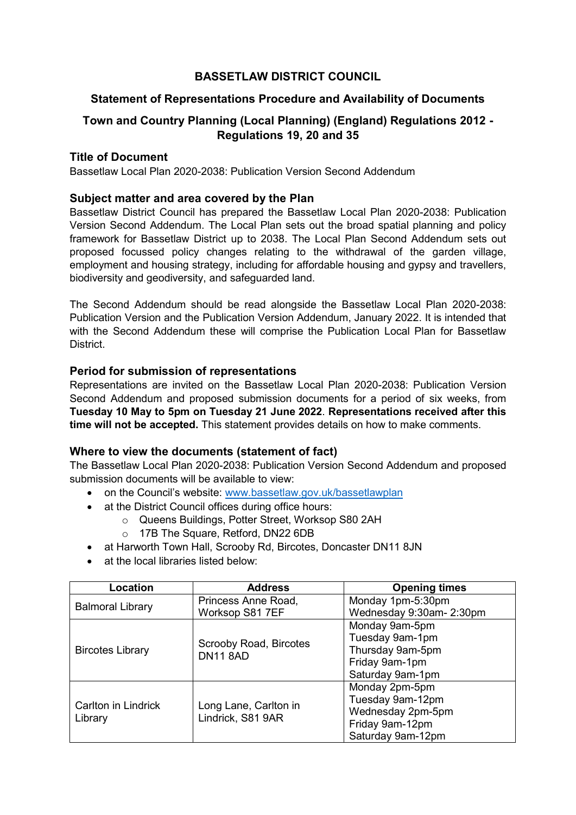# **BASSETLAW DISTRICT COUNCIL**

## **Statement of Representations Procedure and Availability of Documents**

# **Town and Country Planning (Local Planning) (England) Regulations 2012 - Regulations 19, 20 and 35**

## **Title of Document**

Bassetlaw Local Plan 2020-2038: Publication Version Second Addendum

## **Subject matter and area covered by the Plan**

Bassetlaw District Council has prepared the Bassetlaw Local Plan 2020-2038: Publication Version Second Addendum. The Local Plan sets out the broad spatial planning and policy framework for Bassetlaw District up to 2038. The Local Plan Second Addendum sets out proposed focussed policy changes relating to the withdrawal of the garden village, employment and housing strategy, including for affordable housing and gypsy and travellers, biodiversity and geodiversity, and safeguarded land.

The Second Addendum should be read alongside the Bassetlaw Local Plan 2020-2038: Publication Version and the Publication Version Addendum, January 2022. It is intended that with the Second Addendum these will comprise the Publication Local Plan for Bassetlaw District.

#### **Period for submission of representations**

Representations are invited on the Bassetlaw Local Plan 2020-2038: Publication Version Second Addendum and proposed submission documents for a period of six weeks, from **Tuesday 10 May to 5pm on Tuesday 21 June 2022**. **Representations received after this time will not be accepted.** This statement provides details on how to make comments.

#### **Where to view the documents (statement of fact)**

The Bassetlaw Local Plan 2020-2038: Publication Version Second Addendum and proposed submission documents will be available to view:

- on the Council's website: [www.bassetlaw.gov.uk/bassetlawplan](http://www.bassetlaw.gov.uk/bassetlawplan)
- at the District Council offices during office hours:
	- o Queens Buildings, Potter Street, Worksop S80 2AH
		- o 17B The Square, Retford, DN22 6DB
- at Harworth Town Hall, Scrooby Rd, Bircotes, Doncaster DN11 8JN
- at the local libraries listed below:

| Location                       | <b>Address</b>                             | <b>Opening times</b>     |
|--------------------------------|--------------------------------------------|--------------------------|
| <b>Balmoral Library</b>        | Princess Anne Road,                        | Monday 1pm-5:30pm        |
|                                | Worksop S81 7EF                            | Wednesday 9:30am- 2:30pm |
| <b>Bircotes Library</b>        | Scrooby Road, Bircotes<br><b>DN11 8AD</b>  | Monday 9am-5pm           |
|                                |                                            | Tuesday 9am-1pm          |
|                                |                                            | Thursday 9am-5pm         |
|                                |                                            | Friday 9am-1pm           |
|                                |                                            | Saturday 9am-1pm         |
| Carlton in Lindrick<br>Library | Long Lane, Carlton in<br>Lindrick, S81 9AR | Monday 2pm-5pm           |
|                                |                                            | Tuesday 9am-12pm         |
|                                |                                            | Wednesday 2pm-5pm        |
|                                |                                            | Friday 9am-12pm          |
|                                |                                            | Saturday 9am-12pm        |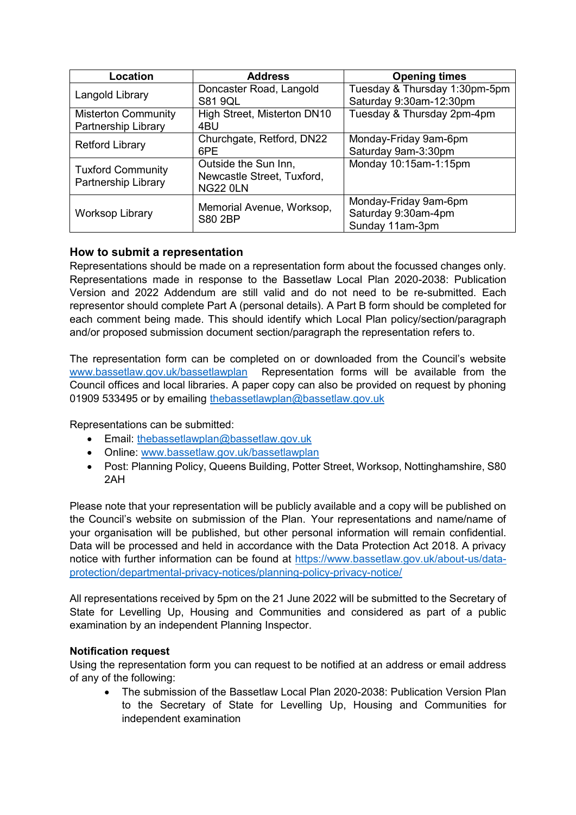| Location                                          | <b>Address</b>                                                        | <b>Opening times</b>                                            |
|---------------------------------------------------|-----------------------------------------------------------------------|-----------------------------------------------------------------|
| Langold Library                                   | Doncaster Road, Langold<br><b>S81 9QL</b>                             | Tuesday & Thursday 1:30pm-5pm<br>Saturday 9:30am-12:30pm        |
| <b>Misterton Community</b><br>Partnership Library | High Street, Misterton DN10<br>4BU                                    | Tuesday & Thursday 2pm-4pm                                      |
| <b>Retford Library</b>                            | Churchgate, Retford, DN22<br>6PE                                      | Monday-Friday 9am-6pm<br>Saturday 9am-3:30pm                    |
| <b>Tuxford Community</b><br>Partnership Library   | Outside the Sun Inn,<br>Newcastle Street, Tuxford,<br><b>NG22 0LN</b> | Monday 10:15am-1:15pm                                           |
| <b>Worksop Library</b>                            | Memorial Avenue, Worksop,<br><b>S80 2BP</b>                           | Monday-Friday 9am-6pm<br>Saturday 9:30am-4pm<br>Sunday 11am-3pm |

# **How to submit a representation**

Representations should be made on a representation form about the focussed changes only. Representations made in response to the Bassetlaw Local Plan 2020-2038: Publication Version and 2022 Addendum are still valid and do not need to be re-submitted. Each representor should complete Part A (personal details). A Part B form should be completed for each comment being made. This should identify which Local Plan policy/section/paragraph and/or proposed submission document section/paragraph the representation refers to.

The representation form can be completed on or downloaded from the Council's website [www.bassetlaw.gov.uk/bassetlawplan](http://www.bassetlaw.gov.uk/bassetlawplan) Representation forms will be available from the Council offices and local libraries. A paper copy can also be provided on request by phoning 01909 533495 or by emailing [thebassetlawplan@bassetlaw.gov.uk](mailto:thebassetlawplan@bassetlaw.gov.uk)

Representations can be submitted:

- **Email: the basset lawplan@basset law.gov.uk**
- Online: [www.bassetlaw.gov.uk/bassetlawplan](http://www.bassetlaw.gov.uk/bassetlawplan)
- Post: Planning Policy, Queens Building, Potter Street, Worksop, Nottinghamshire, S80 2AH

Please note that your representation will be publicly available and a copy will be published on the Council's website on submission of the Plan. Your representations and name/name of your organisation will be published, but other personal information will remain confidential. Data will be processed and held in accordance with the Data Protection Act 2018. A privacy notice with further information can be found at [https://www.bassetlaw.gov.uk/about-us/data](https://www.bassetlaw.gov.uk/about-us/data-protection/departmental-privacy-notices/planning-policy-privacy-notice/)[protection/departmental-privacy-notices/planning-policy-privacy-notice/](https://www.bassetlaw.gov.uk/about-us/data-protection/departmental-privacy-notices/planning-policy-privacy-notice/)

All representations received by 5pm on the 21 June 2022 will be submitted to the Secretary of State for Levelling Up, Housing and Communities and considered as part of a public examination by an independent Planning Inspector.

#### **Notification request**

Using the representation form you can request to be notified at an address or email address of any of the following:

 The submission of the Bassetlaw Local Plan 2020-2038: Publication Version Plan to the Secretary of State for Levelling Up, Housing and Communities for independent examination